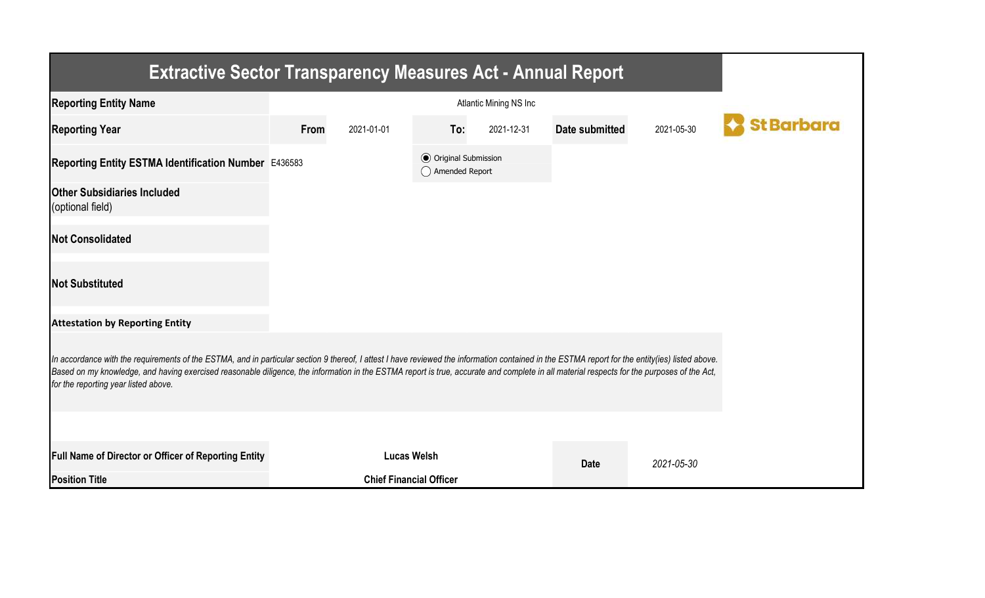| <b>Extractive Sector Transparency Measures Act - Annual Report</b>                                                                                                                                                                                                                                                                                                                                                                    |      |                                |                                                  |            |                |            |                   |  |  |  |
|---------------------------------------------------------------------------------------------------------------------------------------------------------------------------------------------------------------------------------------------------------------------------------------------------------------------------------------------------------------------------------------------------------------------------------------|------|--------------------------------|--------------------------------------------------|------------|----------------|------------|-------------------|--|--|--|
| <b>Reporting Entity Name</b>                                                                                                                                                                                                                                                                                                                                                                                                          |      |                                |                                                  |            |                |            |                   |  |  |  |
| <b>Reporting Year</b>                                                                                                                                                                                                                                                                                                                                                                                                                 | From | 2021-01-01                     | To:                                              | 2021-12-31 | Date submitted | 2021-05-30 | <b>St Barbara</b> |  |  |  |
| Reporting Entity ESTMA Identification Number E436583                                                                                                                                                                                                                                                                                                                                                                                  |      |                                | <b>◎</b> Original Submission<br>◯ Amended Report |            |                |            |                   |  |  |  |
| <b>Other Subsidiaries Included</b><br>(optional field)                                                                                                                                                                                                                                                                                                                                                                                |      |                                |                                                  |            |                |            |                   |  |  |  |
| <b>Not Consolidated</b>                                                                                                                                                                                                                                                                                                                                                                                                               |      |                                |                                                  |            |                |            |                   |  |  |  |
| <b>Not Substituted</b>                                                                                                                                                                                                                                                                                                                                                                                                                |      |                                |                                                  |            |                |            |                   |  |  |  |
| <b>Attestation by Reporting Entity</b>                                                                                                                                                                                                                                                                                                                                                                                                |      |                                |                                                  |            |                |            |                   |  |  |  |
| In accordance with the requirements of the ESTMA, and in particular section 9 thereof, I attest I have reviewed the information contained in the ESTMA report for the entity(ies) listed above.<br>Based on my knowledge, and having exercised reasonable diligence, the information in the ESTMA report is true, accurate and complete in all material respects for the purposes of the Act,<br>for the reporting year listed above. |      |                                |                                                  |            |                |            |                   |  |  |  |
|                                                                                                                                                                                                                                                                                                                                                                                                                                       |      |                                |                                                  |            |                |            |                   |  |  |  |
| <b>Full Name of Director or Officer of Reporting Entity</b>                                                                                                                                                                                                                                                                                                                                                                           |      | <b>Lucas Welsh</b>             |                                                  |            | <b>Date</b>    | 2021-05-30 |                   |  |  |  |
| <b>Position Title</b>                                                                                                                                                                                                                                                                                                                                                                                                                 |      | <b>Chief Financial Officer</b> |                                                  |            |                |            |                   |  |  |  |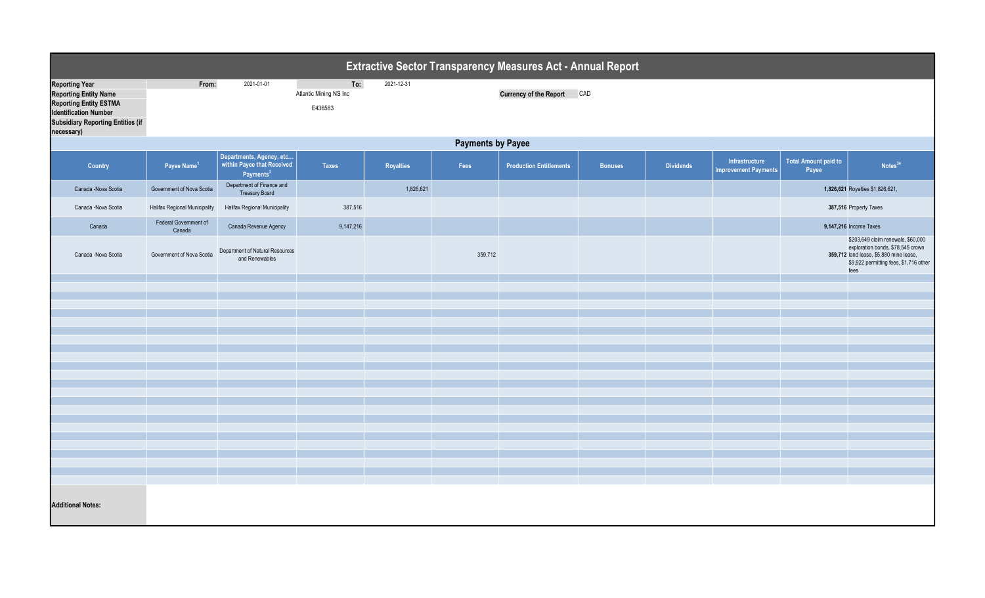| Extractive Sector Transparency Measures Act - Annual Report                                                                                                                      |                                 |                                                                                 |                                          |                  |         |                                |                |                  |                                               |                                                                                                                                                                      |                                  |  |
|----------------------------------------------------------------------------------------------------------------------------------------------------------------------------------|---------------------------------|---------------------------------------------------------------------------------|------------------------------------------|------------------|---------|--------------------------------|----------------|------------------|-----------------------------------------------|----------------------------------------------------------------------------------------------------------------------------------------------------------------------|----------------------------------|--|
| <b>Reporting Year</b><br><b>Reporting Entity Name</b><br><b>Reporting Entity ESTMA</b><br><b>Identification Number</b><br><b>Subsidiary Reporting Entities (if</b><br>necessary) | From:                           | 2021-01-01                                                                      | To:<br>Atlantic Mining NS Inc<br>E436583 | 2021-12-31       |         | <b>Currency of the Report</b>  | CAD            |                  |                                               |                                                                                                                                                                      |                                  |  |
|                                                                                                                                                                                  | <b>Payments by Payee</b>        |                                                                                 |                                          |                  |         |                                |                |                  |                                               |                                                                                                                                                                      |                                  |  |
| <b>Country</b>                                                                                                                                                                   | Payee Name <sup>1</sup>         | Departments, Agency, etc<br>within Payee that Received<br>Payments <sup>2</sup> | <b>Taxes</b>                             | <b>Royalties</b> | Fees    | <b>Production Entitlements</b> | <b>Bonuses</b> | <b>Dividends</b> | Infrastructure<br><b>Improvement Payments</b> | <b>Total Amount paid to</b><br>Payee                                                                                                                                 | Notes <sup>34</sup>              |  |
| Canada -Nova Scotia                                                                                                                                                              | Government of Nova Scotia       | Department of Finance and<br><b>Treasury Board</b>                              |                                          | 1,826,621        |         |                                |                |                  |                                               |                                                                                                                                                                      | 1,826,621 Royalties \$1,826,621, |  |
| Canada -Nova Scotia                                                                                                                                                              | Halifax Regional Municipality   | Halifax Regional Municipality                                                   | 387,516                                  |                  |         |                                |                |                  |                                               | 387,516 Property Taxes                                                                                                                                               |                                  |  |
| Canada                                                                                                                                                                           | Federal Government of<br>Canada | Canada Revenue Agency                                                           | 9,147,216                                |                  |         |                                |                |                  |                                               |                                                                                                                                                                      | 9,147,216 Income Taxes           |  |
| Canada -Nova Scotia                                                                                                                                                              | Government of Nova Scotia       | Department of Natural Resources<br>and Renewables                               |                                          |                  | 359,712 |                                |                |                  |                                               | \$203,649 claim renewals, \$60,000<br>exploration bonds, \$78,545 crown<br>359,712 land lease, \$5,880 mine lease,<br>\$9,922 permitting fees, \$1,716 other<br>fees |                                  |  |
|                                                                                                                                                                                  |                                 |                                                                                 |                                          |                  |         |                                |                |                  |                                               |                                                                                                                                                                      |                                  |  |
|                                                                                                                                                                                  |                                 |                                                                                 |                                          |                  |         |                                |                |                  |                                               |                                                                                                                                                                      |                                  |  |
|                                                                                                                                                                                  |                                 |                                                                                 |                                          |                  |         |                                |                |                  |                                               |                                                                                                                                                                      |                                  |  |
|                                                                                                                                                                                  |                                 |                                                                                 |                                          |                  |         |                                |                |                  |                                               |                                                                                                                                                                      |                                  |  |
|                                                                                                                                                                                  |                                 |                                                                                 |                                          |                  |         |                                |                |                  |                                               |                                                                                                                                                                      |                                  |  |
|                                                                                                                                                                                  |                                 |                                                                                 |                                          |                  |         |                                |                |                  |                                               |                                                                                                                                                                      |                                  |  |
|                                                                                                                                                                                  |                                 |                                                                                 |                                          |                  |         |                                |                |                  |                                               |                                                                                                                                                                      |                                  |  |
|                                                                                                                                                                                  |                                 |                                                                                 |                                          |                  |         |                                |                |                  |                                               |                                                                                                                                                                      |                                  |  |
|                                                                                                                                                                                  |                                 |                                                                                 |                                          |                  |         |                                |                |                  |                                               |                                                                                                                                                                      |                                  |  |
|                                                                                                                                                                                  |                                 |                                                                                 |                                          |                  |         |                                |                |                  |                                               |                                                                                                                                                                      |                                  |  |
|                                                                                                                                                                                  |                                 |                                                                                 |                                          |                  |         |                                |                |                  |                                               |                                                                                                                                                                      |                                  |  |
|                                                                                                                                                                                  |                                 |                                                                                 |                                          |                  |         |                                |                |                  |                                               |                                                                                                                                                                      |                                  |  |
|                                                                                                                                                                                  |                                 |                                                                                 |                                          |                  |         |                                |                |                  |                                               |                                                                                                                                                                      |                                  |  |
|                                                                                                                                                                                  |                                 |                                                                                 |                                          |                  |         |                                |                |                  |                                               |                                                                                                                                                                      |                                  |  |
|                                                                                                                                                                                  |                                 |                                                                                 |                                          |                  |         |                                |                |                  |                                               |                                                                                                                                                                      |                                  |  |
| <b>Additional Notes:</b>                                                                                                                                                         |                                 |                                                                                 |                                          |                  |         |                                |                |                  |                                               |                                                                                                                                                                      |                                  |  |